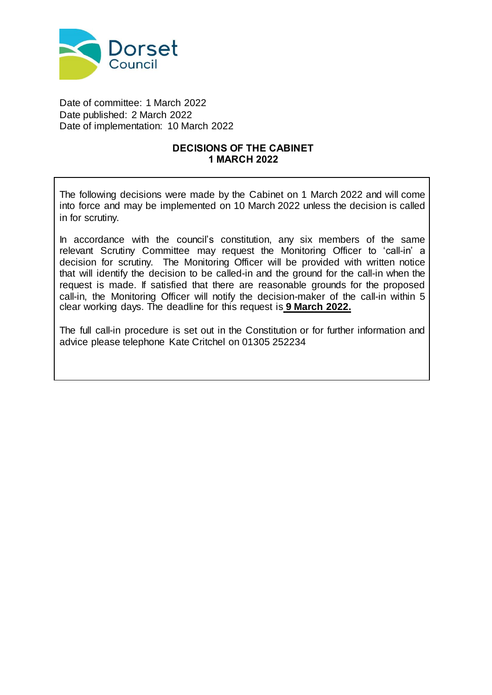

Date of committee: 1 March 2022 Date published: 2 March 2022 Date of implementation: 10 March 2022

## **DECISIONS OF THE CABINET 1 MARCH 2022**

The following decisions were made by the Cabinet on 1 March 2022 and will come into force and may be implemented on 10 March 2022 unless the decision is called in for scrutiny.

In accordance with the council's constitution, any six members of the same relevant Scrutiny Committee may request the Monitoring Officer to 'call-in' a decision for scrutiny. The Monitoring Officer will be provided with written notice that will identify the decision to be called-in and the ground for the call-in when the request is made. If satisfied that there are reasonable grounds for the proposed call-in, the Monitoring Officer will notify the decision-maker of the call-in within 5 clear working days. The deadline for this request is **9 March 2022.**

The full call-in procedure is set out in the Constitution or for further information and advice please telephone Kate Critchel on 01305 252234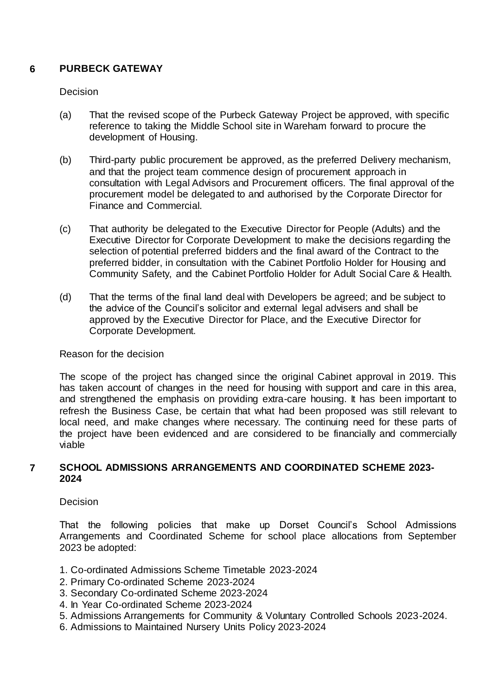# **6 PURBECK GATEWAY**

### **Decision**

- (a) That the revised scope of the Purbeck Gateway Project be approved, with specific reference to taking the Middle School site in Wareham forward to procure the development of Housing.
- (b) Third-party public procurement be approved, as the preferred Delivery mechanism, and that the project team commence design of procurement approach in consultation with Legal Advisors and Procurement officers. The final approval of the procurement model be delegated to and authorised by the Corporate Director for Finance and Commercial.
- (c) That authority be delegated to the Executive Director for People (Adults) and the Executive Director for Corporate Development to make the decisions regarding the selection of potential preferred bidders and the final award of the Contract to the preferred bidder, in consultation with the Cabinet Portfolio Holder for Housing and Community Safety, and the Cabinet Portfolio Holder for Adult Social Care & Health.
- (d) That the terms of the final land deal with Developers be agreed; and be subject to the advice of the Council's solicitor and external legal advisers and shall be approved by the Executive Director for Place, and the Executive Director for Corporate Development.

## Reason for the decision

The scope of the project has changed since the original Cabinet approval in 2019. This has taken account of changes in the need for housing with support and care in this area, and strengthened the emphasis on providing extra-care housing. It has been important to refresh the Business Case, be certain that what had been proposed was still relevant to local need, and make changes where necessary. The continuing need for these parts of the project have been evidenced and are considered to be financially and commercially viable

### **7 SCHOOL ADMISSIONS ARRANGEMENTS AND COORDINATED SCHEME 2023- 2024**

## **Decision**

That the following policies that make up Dorset Council's School Admissions Arrangements and Coordinated Scheme for school place allocations from September 2023 be adopted:

- 1. Co-ordinated Admissions Scheme Timetable 2023-2024
- 2. Primary Co-ordinated Scheme 2023-2024
- 3. Secondary Co-ordinated Scheme 2023-2024
- 4. In Year Co-ordinated Scheme 2023-2024
- 5. Admissions Arrangements for Community & Voluntary Controlled Schools 2023-2024.
- 6. Admissions to Maintained Nursery Units Policy 2023-2024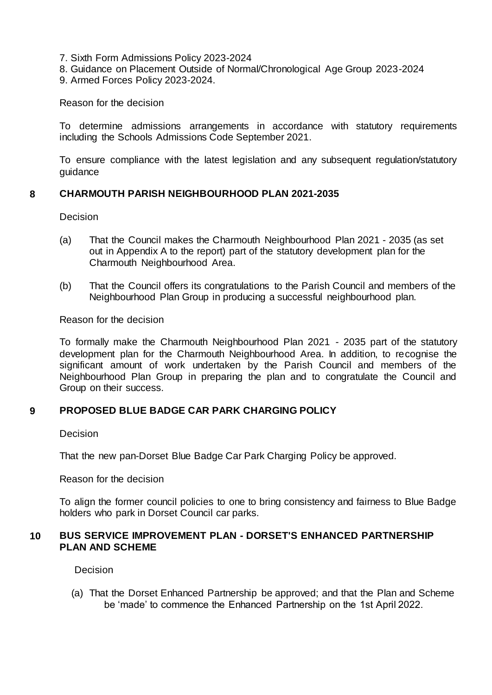- 7. Sixth Form Admissions Policy 2023-2024
- 8. Guidance on Placement Outside of Normal/Chronological Age Group 2023-2024
- 9. Armed Forces Policy 2023-2024.

Reason for the decision

To determine admissions arrangements in accordance with statutory requirements including the Schools Admissions Code September 2021.

To ensure compliance with the latest legislation and any subsequent regulation/statutory guidance

# **8 CHARMOUTH PARISH NEIGHBOURHOOD PLAN 2021-2035**

Decision

- (a) That the Council makes the Charmouth Neighbourhood Plan 2021 2035 (as set out in Appendix A to the report) part of the statutory development plan for the Charmouth Neighbourhood Area.
- (b) That the Council offers its congratulations to the Parish Council and members of the Neighbourhood Plan Group in producing a successful neighbourhood plan.

Reason for the decision

To formally make the Charmouth Neighbourhood Plan 2021 - 2035 part of the statutory development plan for the Charmouth Neighbourhood Area. In addition, to recognise the significant amount of work undertaken by the Parish Council and members of the Neighbourhood Plan Group in preparing the plan and to congratulate the Council and Group on their success.

## **9 PROPOSED BLUE BADGE CAR PARK CHARGING POLICY**

**Decision** 

That the new pan-Dorset Blue Badge Car Park Charging Policy be approved.

Reason for the decision

To align the former council policies to one to bring consistency and fairness to Blue Badge holders who park in Dorset Council car parks.

## **10 BUS SERVICE IMPROVEMENT PLAN - DORSET'S ENHANCED PARTNERSHIP PLAN AND SCHEME**

**Decision** 

(a) That the Dorset Enhanced Partnership be approved; and that the Plan and Scheme be 'made' to commence the Enhanced Partnership on the 1st April 2022.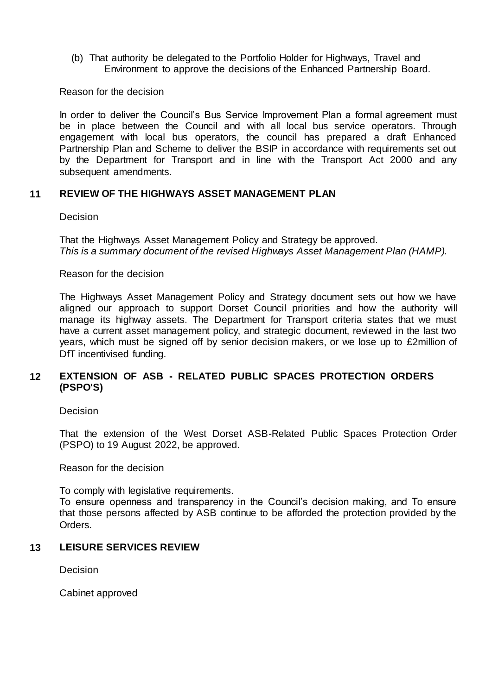(b) That authority be delegated to the Portfolio Holder for Highways, Travel and Environment to approve the decisions of the Enhanced Partnership Board.

Reason for the decision

In order to deliver the Council's Bus Service Improvement Plan a formal agreement must be in place between the Council and with all local bus service operators. Through engagement with local bus operators, the council has prepared a draft Enhanced Partnership Plan and Scheme to deliver the BSIP in accordance with requirements set out by the Department for Transport and in line with the Transport Act 2000 and any subsequent amendments.

### **11 REVIEW OF THE HIGHWAYS ASSET MANAGEMENT PLAN**

#### Decision

That the Highways Asset Management Policy and Strategy be approved. *This is a summary document of the revised Highways Asset Management Plan (HAMP).*

#### Reason for the decision

The Highways Asset Management Policy and Strategy document sets out how we have aligned our approach to support Dorset Council priorities and how the authority will manage its highway assets. The Department for Transport criteria states that we must have a current asset management policy, and strategic document, reviewed in the last two years, which must be signed off by senior decision makers, or we lose up to £2million of DfT incentivised funding.

### **12 EXTENSION OF ASB - RELATED PUBLIC SPACES PROTECTION ORDERS (PSPO'S)**

Decision

That the extension of the West Dorset ASB-Related Public Spaces Protection Order (PSPO) to 19 August 2022, be approved.

Reason for the decision

To comply with legislative requirements.

To ensure openness and transparency in the Council's decision making, and To ensure that those persons affected by ASB continue to be afforded the protection provided by the Orders.

## **13 LEISURE SERVICES REVIEW**

**Decision** 

Cabinet approved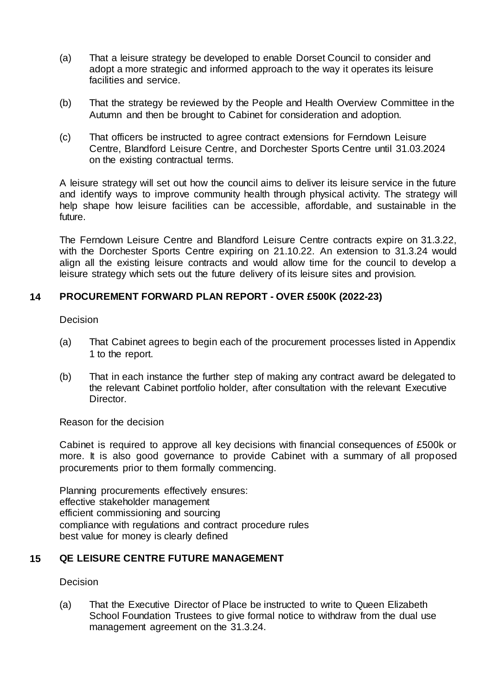- (a) That a leisure strategy be developed to enable Dorset Council to consider and adopt a more strategic and informed approach to the way it operates its leisure facilities and service.
- (b) That the strategy be reviewed by the People and Health Overview Committee in the Autumn and then be brought to Cabinet for consideration and adoption.
- (c) That officers be instructed to agree contract extensions for Ferndown Leisure Centre, Blandford Leisure Centre, and Dorchester Sports Centre until 31.03.2024 on the existing contractual terms.

A leisure strategy will set out how the council aims to deliver its leisure service in the future and identify ways to improve community health through physical activity. The strategy will help shape how leisure facilities can be accessible, affordable, and sustainable in the future.

The Ferndown Leisure Centre and Blandford Leisure Centre contracts expire on 31.3.22, with the Dorchester Sports Centre expiring on 21.10.22. An extension to 31.3.24 would align all the existing leisure contracts and would allow time for the council to develop a leisure strategy which sets out the future delivery of its leisure sites and provision.

## **14 PROCUREMENT FORWARD PLAN REPORT - OVER £500K (2022-23)**

**Decision** 

- (a) That Cabinet agrees to begin each of the procurement processes listed in Appendix 1 to the report.
- (b) That in each instance the further step of making any contract award be delegated to the relevant Cabinet portfolio holder, after consultation with the relevant Executive Director.

Reason for the decision

Cabinet is required to approve all key decisions with financial consequences of £500k or more. It is also good governance to provide Cabinet with a summary of all proposed procurements prior to them formally commencing.

Planning procurements effectively ensures: effective stakeholder management efficient commissioning and sourcing compliance with regulations and contract procedure rules best value for money is clearly defined

# **15 QE LEISURE CENTRE FUTURE MANAGEMENT**

**Decision** 

(a) That the Executive Director of Place be instructed to write to Queen Elizabeth School Foundation Trustees to give formal notice to withdraw from the dual use management agreement on the 31.3.24.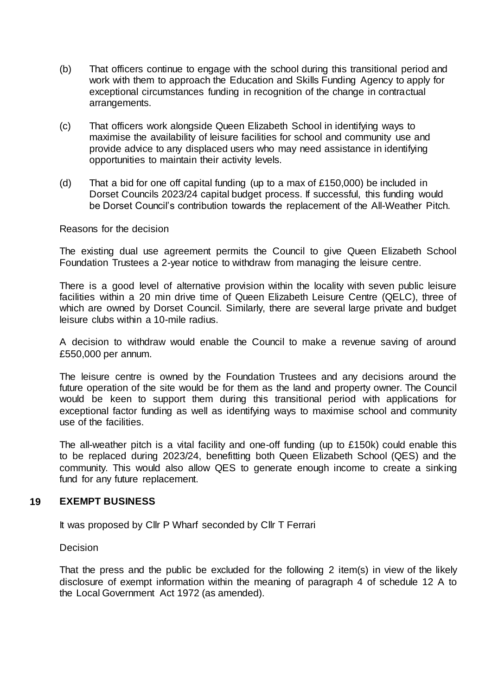- (b) That officers continue to engage with the school during this transitional period and work with them to approach the Education and Skills Funding Agency to apply for exceptional circumstances funding in recognition of the change in contractual arrangements.
- (c) That officers work alongside Queen Elizabeth School in identifying ways to maximise the availability of leisure facilities for school and community use and provide advice to any displaced users who may need assistance in identifying opportunities to maintain their activity levels.
- (d) That a bid for one off capital funding (up to a max of  $£150,000$ ) be included in Dorset Councils 2023/24 capital budget process. If successful, this funding would be Dorset Council's contribution towards the replacement of the All-Weather Pitch.

### Reasons for the decision

The existing dual use agreement permits the Council to give Queen Elizabeth School Foundation Trustees a 2-year notice to withdraw from managing the leisure centre.

There is a good level of alternative provision within the locality with seven public leisure facilities within a 20 min drive time of Queen Elizabeth Leisure Centre (QELC), three of which are owned by Dorset Council. Similarly, there are several large private and budget leisure clubs within a 10-mile radius.

A decision to withdraw would enable the Council to make a revenue saving of around £550,000 per annum.

The leisure centre is owned by the Foundation Trustees and any decisions around the future operation of the site would be for them as the land and property owner. The Council would be keen to support them during this transitional period with applications for exceptional factor funding as well as identifying ways to maximise school and community use of the facilities.

The all-weather pitch is a vital facility and one-off funding (up to £150k) could enable this to be replaced during 2023/24, benefitting both Queen Elizabeth School (QES) and the community. This would also allow QES to generate enough income to create a sinking fund for any future replacement.

## **19 EXEMPT BUSINESS**

It was proposed by Cllr P Wharf seconded by Cllr T Ferrari

Decision

That the press and the public be excluded for the following 2 item(s) in view of the likely disclosure of exempt information within the meaning of paragraph 4 of schedule 12 A to the Local Government Act 1972 (as amended).